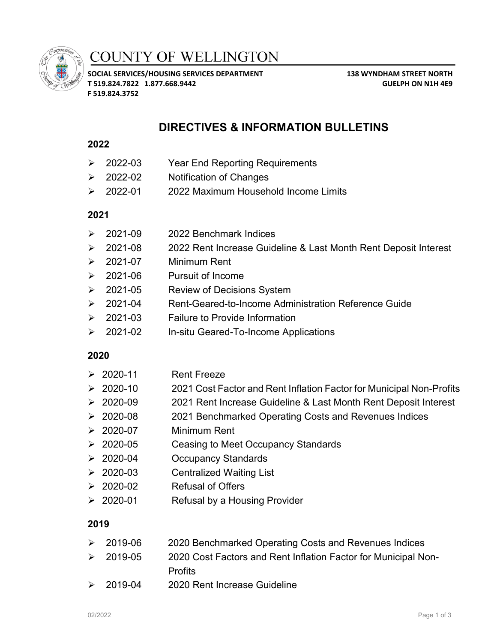

# **COUNTY OF WELLINGTON**

**SOCIAL SERVICES/HOUSING SERVICES DEPARTMENT 138 WYNDHAM STREET NORTH T 519.824.7822 1.877.668.9442 GUELPH ON N1H 4E9 F 519.824.3752**

## **DIRECTIVES & INFORMATION BULLETINS**

#### **2022**

- 2022-03 Year End Reporting Requirements
- 2022-02 Notification of Changes
- 2022-01 2022 Maximum Household Income Limits

#### **2021**

- $\geq$  2021-09 2022 Benchmark Indices
- **2021-08 2022 Rent Increase Guideline & Last Month Rent Deposit Interest**
- $\geq 2021-07$  Minimum Rent
- 2021-06 Pursuit of Income
- 2021-05 Review of Decisions System
- 2021-04 Rent-Geared-to-Income Administration Reference Guide
- **2021-03** Failure to Provide Information
- 2021-02 In-situ Geared-To-Income Applications

#### **2020**

- $\geq 2020-11$  Rent Freeze
- 2020-10 2021 Cost Factor and Rent Inflation Factor for Municipal Non-Profits
- ▶ 2020-09 2021 Rent Increase Guideline & Last Month Rent Deposit Interest
- 2020-08 2021 Benchmarked Operating Costs and Revenues Indices
- 2020-07 Minimum Rent
- 2020-05 Ceasing to Meet Occupancy Standards
- 2020-04 Occupancy Standards
- 2020-03 Centralized Waiting List
- 2020-02 Refusal of Offers
- 2020-01 Refusal by a Housing Provider

#### **2019**

- 2019-06 2020 Benchmarked Operating Costs and Revenues Indices 2019-05 2020 Cost Factors and Rent Inflation Factor for Municipal Non-**Profits**
- 2019-04 2020 Rent Increase Guideline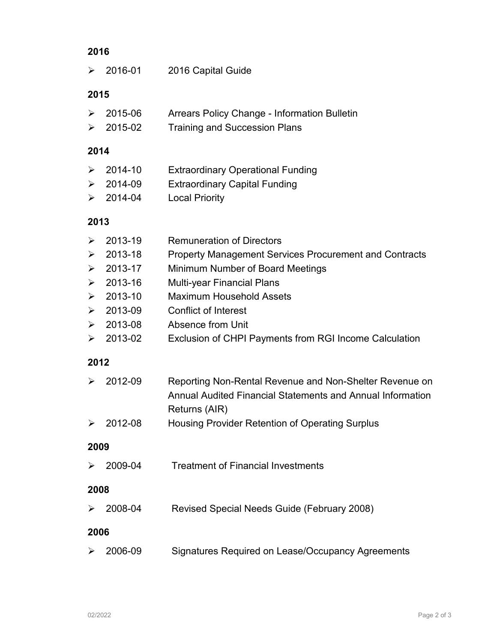## **2016**

| ➤ | 2016-01 | 2016 Capital Guide |
|---|---------|--------------------|
|   |         |                    |

### **2015**

|  |  | $\geq 2015 - 06$ | Arrears Policy Change - Information Bulletin |
|--|--|------------------|----------------------------------------------|
|--|--|------------------|----------------------------------------------|

> 2015-02 Training and Succession Plans

## **2014**

| $\geq 2014 - 10$ | <b>Extraordinary Operational Funding</b> |
|------------------|------------------------------------------|
| $\geq 2014-09$   | <b>Extraordinary Capital Funding</b>     |
|                  |                                          |

> 2014-04 Local Priority

## **2013**

| ➤                     | 2013-19 | <b>Remuneration of Directors</b>                                                                                                       |  |  |  |
|-----------------------|---------|----------------------------------------------------------------------------------------------------------------------------------------|--|--|--|
| ➤                     | 2013-18 | <b>Property Management Services Procurement and Contracts</b>                                                                          |  |  |  |
| ➤                     | 2013-17 | Minimum Number of Board Meetings                                                                                                       |  |  |  |
| $\blacktriangleright$ | 2013-16 | <b>Multi-year Financial Plans</b>                                                                                                      |  |  |  |
| ➤                     | 2013-10 | <b>Maximum Household Assets</b>                                                                                                        |  |  |  |
| $\blacktriangleright$ | 2013-09 | <b>Conflict of Interest</b>                                                                                                            |  |  |  |
| ➤                     | 2013-08 | Absence from Unit                                                                                                                      |  |  |  |
| ➤                     | 2013-02 | Exclusion of CHPI Payments from RGI Income Calculation                                                                                 |  |  |  |
| 2012                  |         |                                                                                                                                        |  |  |  |
| ≻                     | 2012-09 | Reporting Non-Rental Revenue and Non-Shelter Revenue on<br>Annual Audited Financial Statements and Annual Information<br>Returns (AIR) |  |  |  |
| ➤                     | 2012-08 | Housing Provider Retention of Operating Surplus                                                                                        |  |  |  |
| 2009                  |         |                                                                                                                                        |  |  |  |
| ➤                     | 2009-04 | <b>Treatment of Financial Investments</b>                                                                                              |  |  |  |
| 2008                  |         |                                                                                                                                        |  |  |  |
| ➤                     | 2008-04 | Revised Special Needs Guide (February 2008)                                                                                            |  |  |  |
|                       | 2006    |                                                                                                                                        |  |  |  |
| ➤                     | 2006-09 | Signatures Required on Lease/Occupancy Agreements                                                                                      |  |  |  |